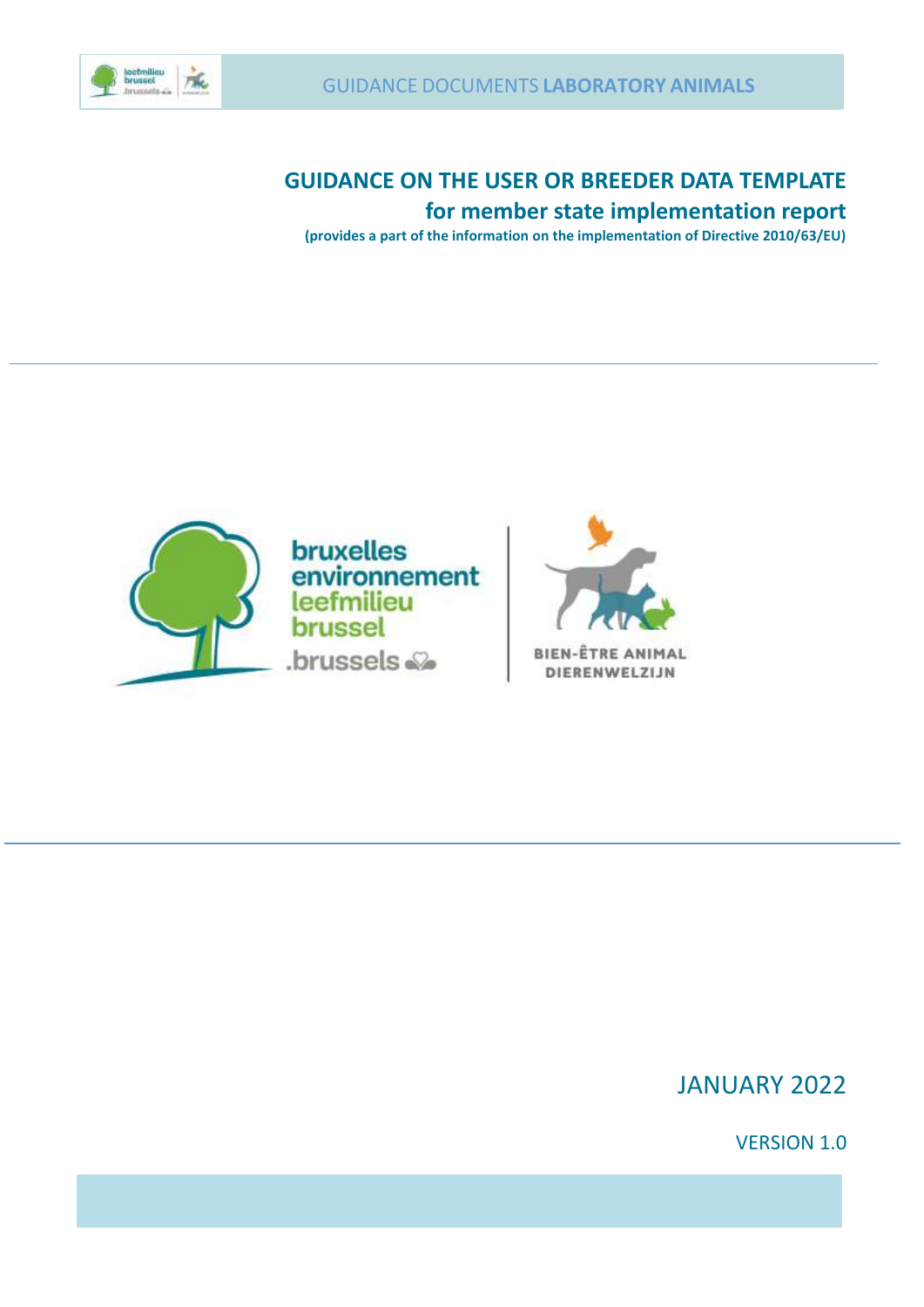

## **GUIDANCE ON THE USER OR BREEDER DATA TEMPLATE for member state implementation report**

**(provides a part of the information on the implementation of Directive 2010/63/EU)**



## bruxelles environnement leefmilieu brussel brussels



JANUARY 2022

VERSION 1.0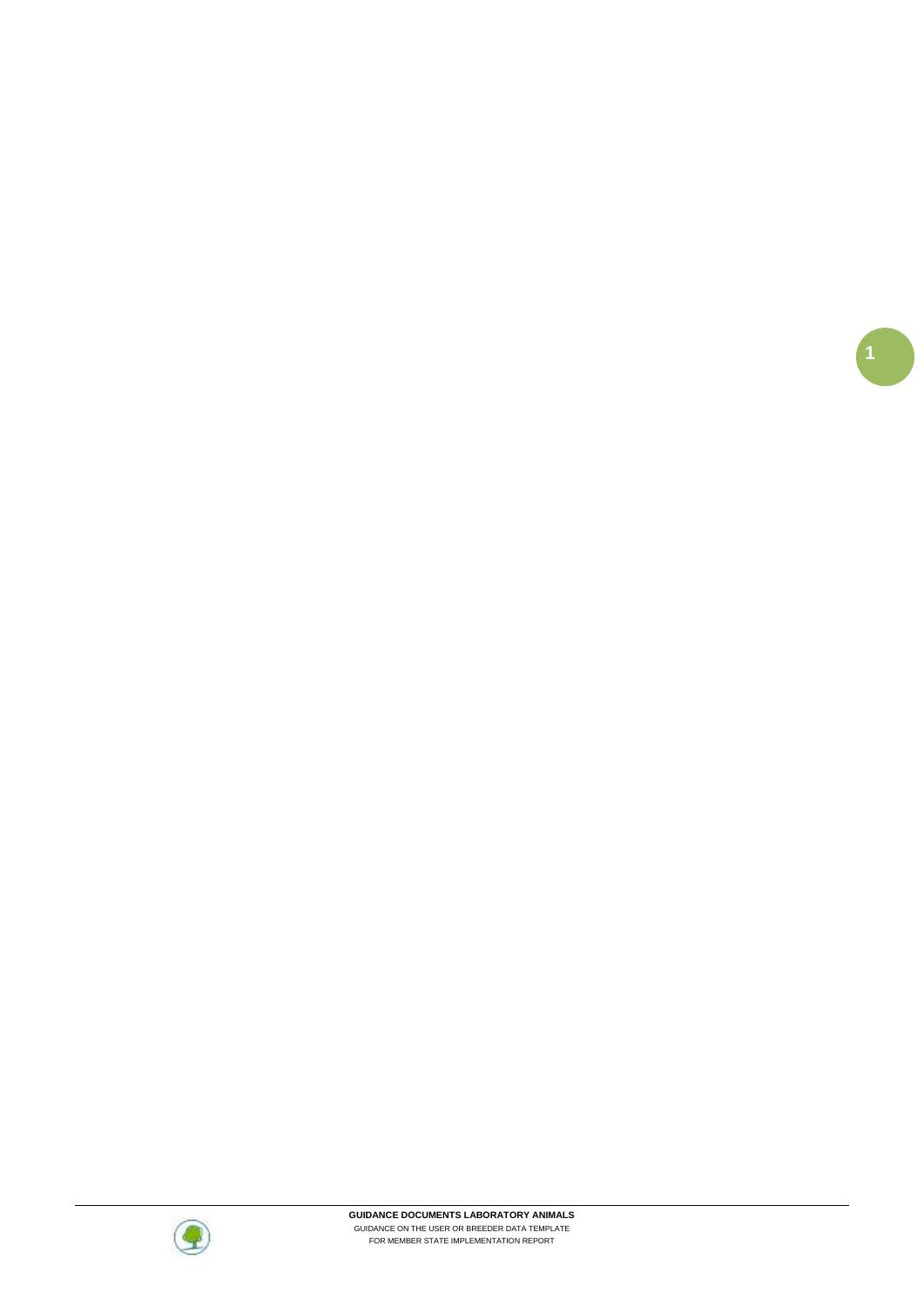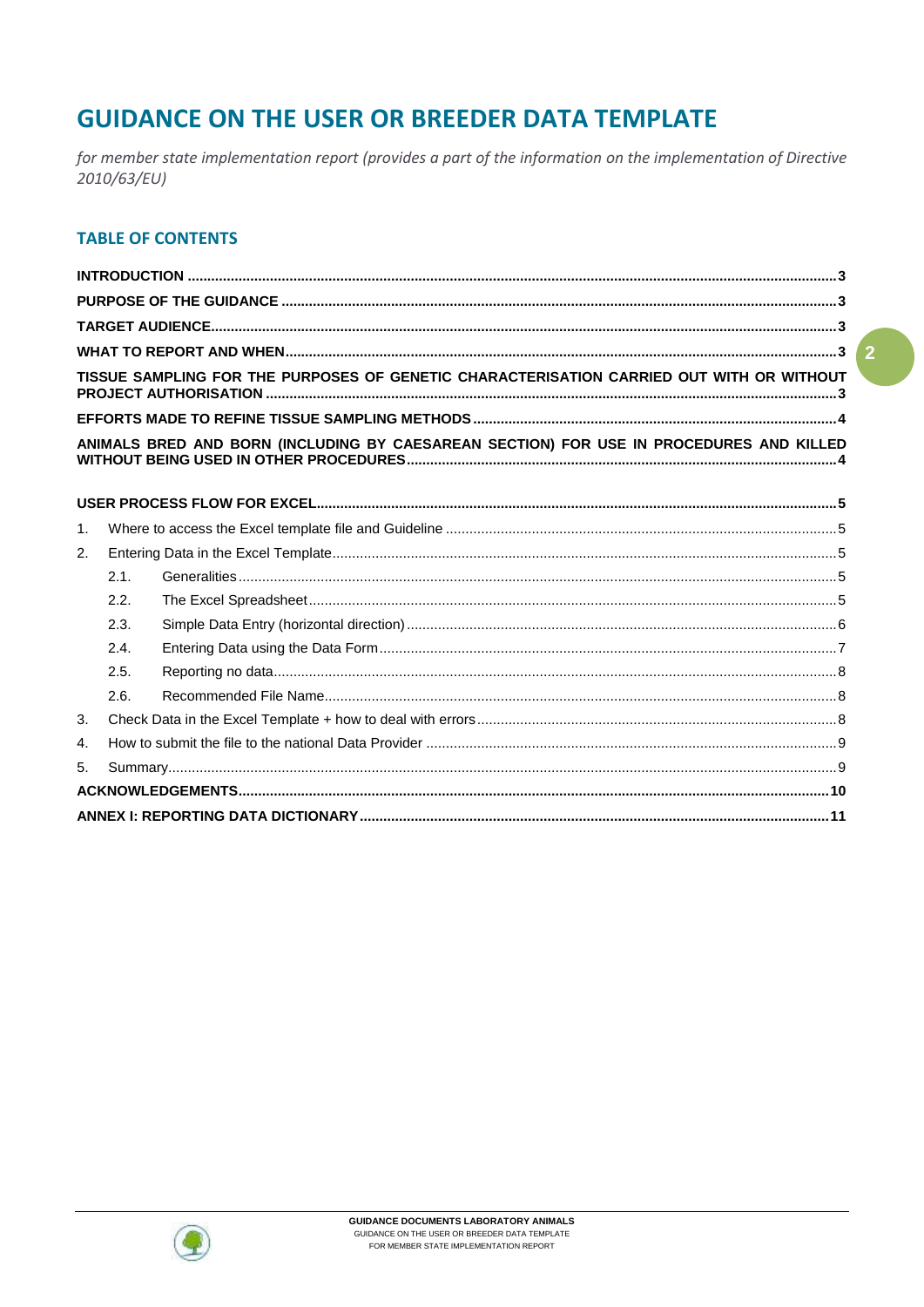# **GUIDANCE ON THE USER OR BREEDER DATA TEMPLATE**

for member state implementation report (provides a part of the information on the implementation of Directive 2010/63/EU)

### **TABLE OF CONTENTS**

|    |      | TISSUE SAMPLING FOR THE PURPOSES OF GENETIC CHARACTERISATION CARRIED OUT WITH OR WITHOUT |  |  |  |  |
|----|------|------------------------------------------------------------------------------------------|--|--|--|--|
|    |      |                                                                                          |  |  |  |  |
|    |      | ANIMALS BRED AND BORN (INCLUDING BY CAESAREAN SECTION) FOR USE IN PROCEDURES AND KILLED  |  |  |  |  |
|    |      |                                                                                          |  |  |  |  |
| 1. |      |                                                                                          |  |  |  |  |
| 2. |      |                                                                                          |  |  |  |  |
|    | 2.1. |                                                                                          |  |  |  |  |
|    | 2.2. |                                                                                          |  |  |  |  |
|    | 2.3. |                                                                                          |  |  |  |  |
|    | 2.4. |                                                                                          |  |  |  |  |
|    | 2.5. |                                                                                          |  |  |  |  |
|    | 2.6. |                                                                                          |  |  |  |  |
| 3. |      |                                                                                          |  |  |  |  |
| 4. |      |                                                                                          |  |  |  |  |
| 5. |      |                                                                                          |  |  |  |  |
|    |      |                                                                                          |  |  |  |  |
|    |      |                                                                                          |  |  |  |  |

<span id="page-2-0"></span>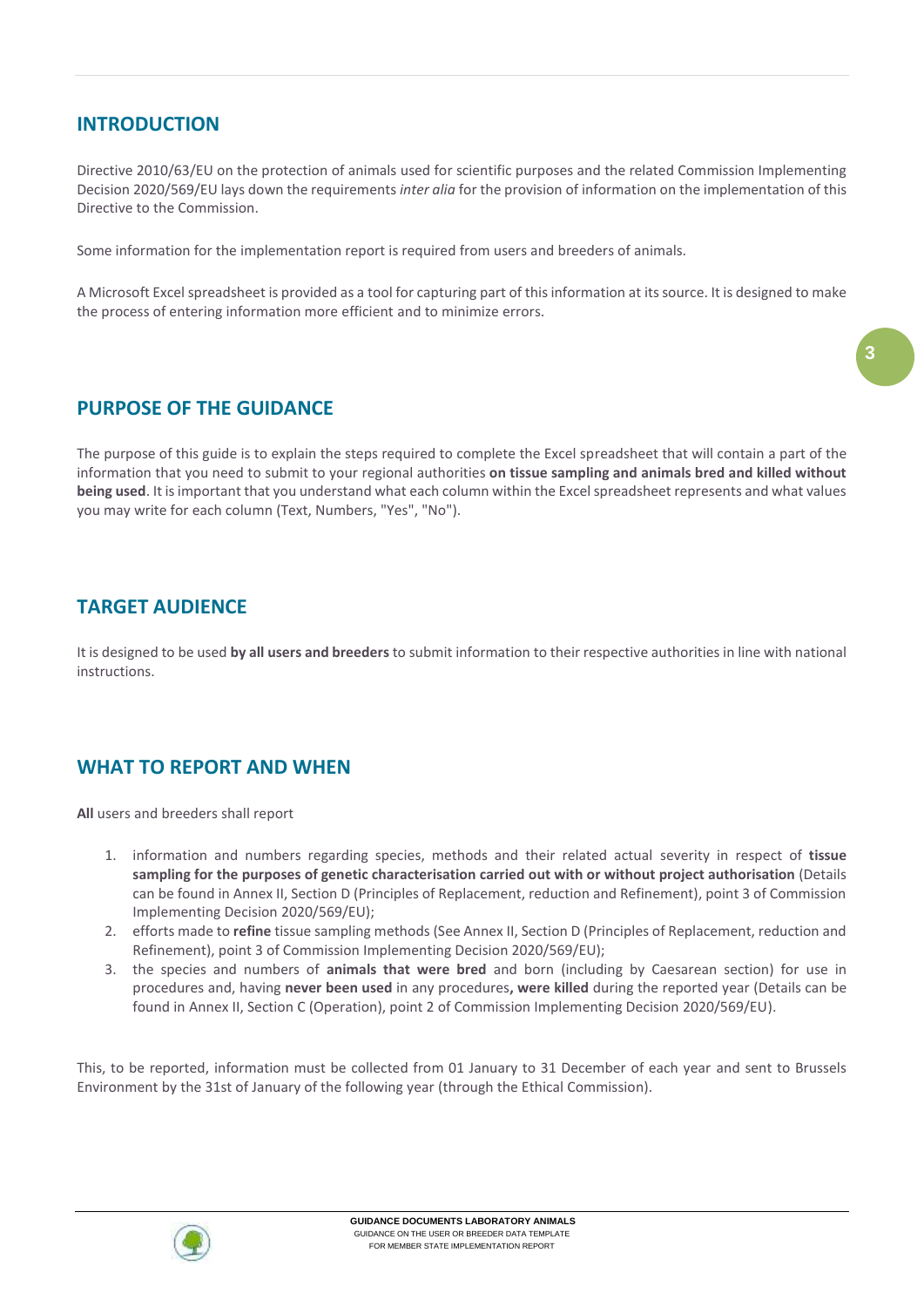## **INTRODUCTION**

Directive 2010/63/EU on the protection of animals used for scientific purposes and the related Commission Implementing Decision 2020/569/EU lays down the requirements *inter alia* for the provision of information on the implementation of this Directive to the Commission.

Some information for the implementation report is required from users and breeders of animals.

A Microsoft Excel spreadsheet is provided as a tool for capturing part of this information at its source. It is designed to make the process of entering information more efficient and to minimize errors.

### <span id="page-3-0"></span>**PURPOSE OF THE GUIDANCE**

The purpose of this guide is to explain the steps required to complete the Excel spreadsheet that will contain a part of the information that you need to submit to your regional authorities **on tissue sampling and animals bred and killed without being used**. It is important that you understand what each column within the Excel spreadsheet represents and what values you may write for each column (Text, Numbers, "Yes", "No").

### <span id="page-3-1"></span>**TARGET AUDIENCE**

It is designed to be used **by all users and breeders** to submit information to their respective authorities in line with national instructions.

## <span id="page-3-2"></span>**WHAT TO REPORT AND WHEN**

**All** users and breeders shall report

- 1. information and numbers regarding species, methods and their related actual severity in respect of **tissue sampling for the purposes of genetic characterisation carried out with or without project authorisation** (Details can be found in Annex II, Section D (Principles of Replacement, reduction and Refinement), point 3 of Commission Implementing Decision 2020/569/EU);
- 2. efforts made to **refine** tissue sampling methods (See Annex II, Section D (Principles of Replacement, reduction and Refinement), point 3 of Commission Implementing Decision 2020/569/EU);
- 3. the species and numbers of **animals that were bred** and born (including by Caesarean section) for use in procedures and, having **never been used** in any procedures**, were killed** during the reported year (Details can be found in Annex II, Section C (Operation), point 2 of Commission Implementing Decision 2020/569/EU).

This, to be reported, information must be collected from 01 January to 31 December of each year and sent to Brussels Environment by the 31st of January of the following year (through the Ethical Commission).

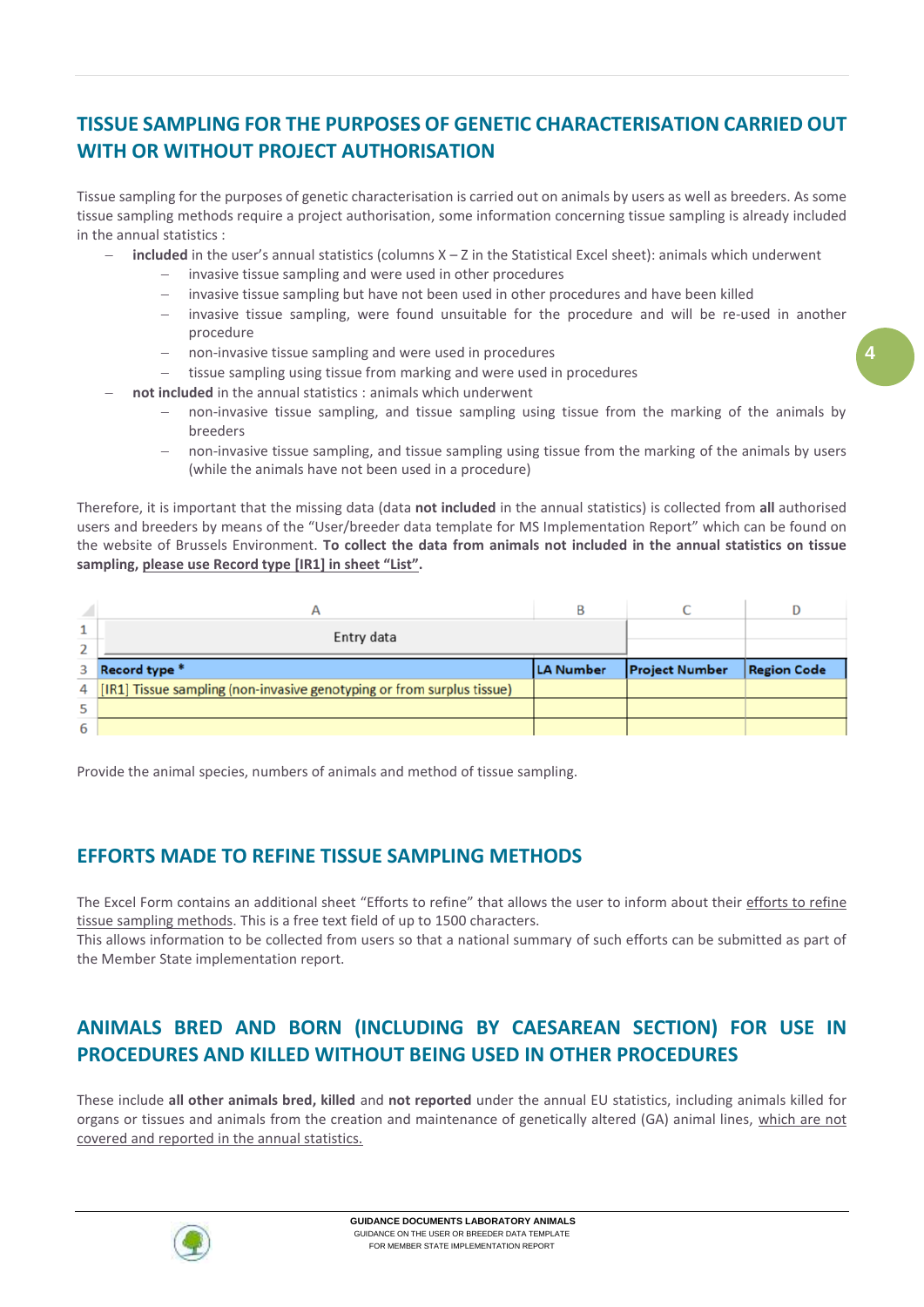## **TISSUE SAMPLING FOR THE PURPOSES OF GENETIC CHARACTERISATION CARRIED OUT WITH OR WITHOUT PROJECT AUTHORISATION**

Tissue sampling for the purposes of genetic characterisation is carried out on animals by users as well as breeders. As some tissue sampling methods require a project authorisation, some information concerning tissue sampling is already included in the annual statistics :

- **included** in the user's annual statistics (columns X Z in the Statistical Excel sheet): animals which underwent
	- invasive tissue sampling and were used in other procedures
	- invasive tissue sampling but have not been used in other procedures and have been killed
	- invasive tissue sampling, were found unsuitable for the procedure and will be re-used in another procedure
	- non-invasive tissue sampling and were used in procedures
	- tissue sampling using tissue from marking and were used in procedures
- **not included** in the annual statistics : animals which underwent
	- non-invasive tissue sampling, and tissue sampling using tissue from the marking of the animals by breeders
	- non-invasive tissue sampling, and tissue sampling using tissue from the marking of the animals by users (while the animals have not been used in a procedure)

Therefore, it is important that the missing data (data **not included** in the annual statistics) is collected from **all** authorised users and breeders by means of the "User/breeder data template for MS Implementation Report" which can be found on the website of Brussels Environment. **To collect the data from animals not included in the annual statistics on tissue sampling, please use Record type [IR1] in sheet "List".**

|                | Entry data                                                               |           |                       |                    |
|----------------|--------------------------------------------------------------------------|-----------|-----------------------|--------------------|
| $\overline{2}$ |                                                                          |           |                       |                    |
|                | 3 Record type *                                                          | LA Number | <b>Project Number</b> | <b>Region Code</b> |
|                | 4 [IR1] Tissue sampling (non-invasive genotyping or from surplus tissue) |           |                       |                    |
| 5              |                                                                          |           |                       |                    |
| 6              |                                                                          |           |                       |                    |

Provide the animal species, numbers of animals and method of tissue sampling.

### **EFFORTS MADE TO REFINE TISSUE SAMPLING METHODS**

The Excel Form contains an additional sheet "Efforts to refine" that allows the user to inform about their efforts to refine tissue sampling methods. This is a free text field of up to 1500 characters.

This allows information to be collected from users so that a national summary of such efforts can be submitted as part of the Member State implementation report.

## **ANIMALS BRED AND BORN (INCLUDING BY CAESAREAN SECTION) FOR USE IN PROCEDURES AND KILLED WITHOUT BEING USED IN OTHER PROCEDURES**

These include **all other animals bred, killed** and **not reported** under the annual EU statistics, including animals killed for organs or tissues and animals from the creation and maintenance of genetically altered (GA) animal lines, which are not covered and reported in the annual statistics.

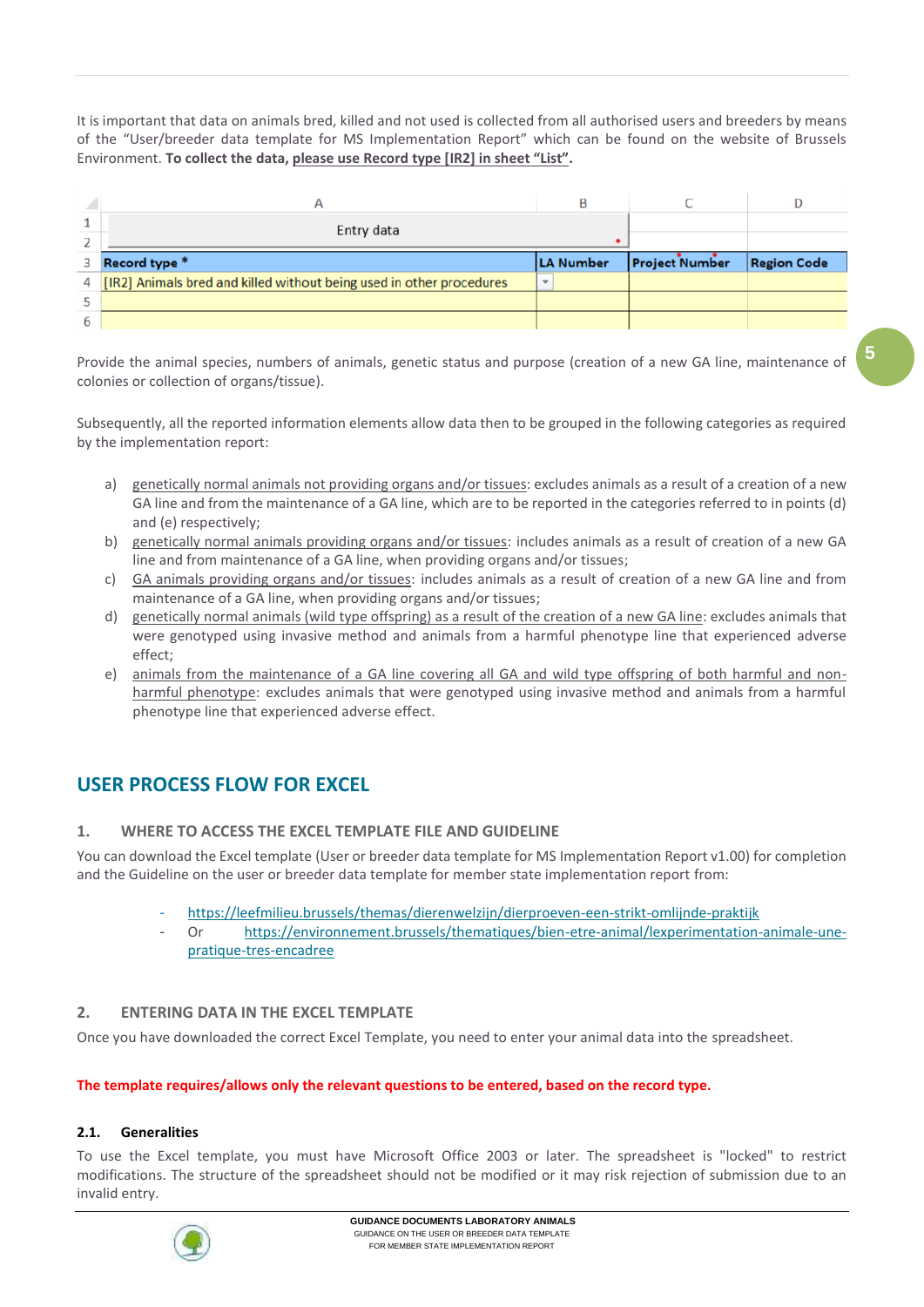It is important that data on animals bred, killed and not used is collected from all authorised users and breeders by means of the "User/breeder data template for MS Implementation Report" which can be found on the website of Brussels Environment. **To collect the data, please use Record type [IR2] in sheet "List".**

|   | Entry data                                                           |              |                       |                    |
|---|----------------------------------------------------------------------|--------------|-----------------------|--------------------|
|   |                                                                      |              |                       |                    |
|   | 3 Record type *                                                      | LA Number    | <b>Project Number</b> | <b>Region Code</b> |
| 4 | [IR2] Animals bred and killed without being used in other procedures | $\mathbf{v}$ |                       |                    |
|   |                                                                      |              |                       |                    |
| 6 |                                                                      |              |                       |                    |

<span id="page-5-0"></span>Provide the animal species, numbers of animals, genetic status and purpose (creation of a new GA line, maintenance of colonies or collection of organs/tissue).

Subsequently, all the reported information elements allow data then to be grouped in the following categories as required by the implementation report:

- a) genetically normal animals not providing organs and/or tissues: excludes animals as a result of a creation of a new GA line and from the maintenance of a GA line, which are to be reported in the categories referred to in points (d) and (e) respectively;
- b) genetically normal animals providing organs and/or tissues: includes animals as a result of creation of a new GA line and from maintenance of a GA line, when providing organs and/or tissues;
- c) GA animals providing organs and/or tissues: includes animals as a result of creation of a new GA line and from maintenance of a GA line, when providing organs and/or tissues;
- d) genetically normal animals (wild type offspring) as a result of the creation of a new GA line: excludes animals that were genotyped using invasive method and animals from a harmful phenotype line that experienced adverse effect;
- e) animals from the maintenance of a GA line covering all GA and wild type offspring of both harmful and nonharmful phenotype: excludes animals that were genotyped using invasive method and animals from a harmful phenotype line that experienced adverse effect.

## **USER PROCESS FLOW FOR EXCEL**

#### <span id="page-5-1"></span>**1. WHERE TO ACCESS THE EXCEL TEMPLATE FILE AND GUIDELINE**

You can download the Excel template (User or breeder data template for MS Implementation Report v1.00) for completion and the Guideline on the user or breeder data template for member state implementation report from:

- <https://leefmilieu.brussels/themas/dierenwelzijn/dierproeven-een-strikt-omlijnde-praktijk>
- Or [https://environnement.brussels/thematiques/bien-etre-animal/lexperimentation-animale-une](https://environnement.brussels/thematiques/bien-etre-animal/lexperimentation-animale-une-pratique-tres-encadree)[pratique-tres-encadree](https://environnement.brussels/thematiques/bien-etre-animal/lexperimentation-animale-une-pratique-tres-encadree)

#### <span id="page-5-2"></span>**2. ENTERING DATA IN THE EXCEL TEMPLATE**

Once you have downloaded the correct Excel Template, you need to enter your animal data into the spreadsheet.

#### **The template requires/allows only the relevant questions to be entered, based on the record type.**

#### <span id="page-5-3"></span>**2.1. Generalities**

To use the Excel template, you must have Microsoft Office 2003 or later. The spreadsheet is "locked" to restrict modifications. The structure of the spreadsheet should not be modified or it may risk rejection of submission due to an invalid entry.

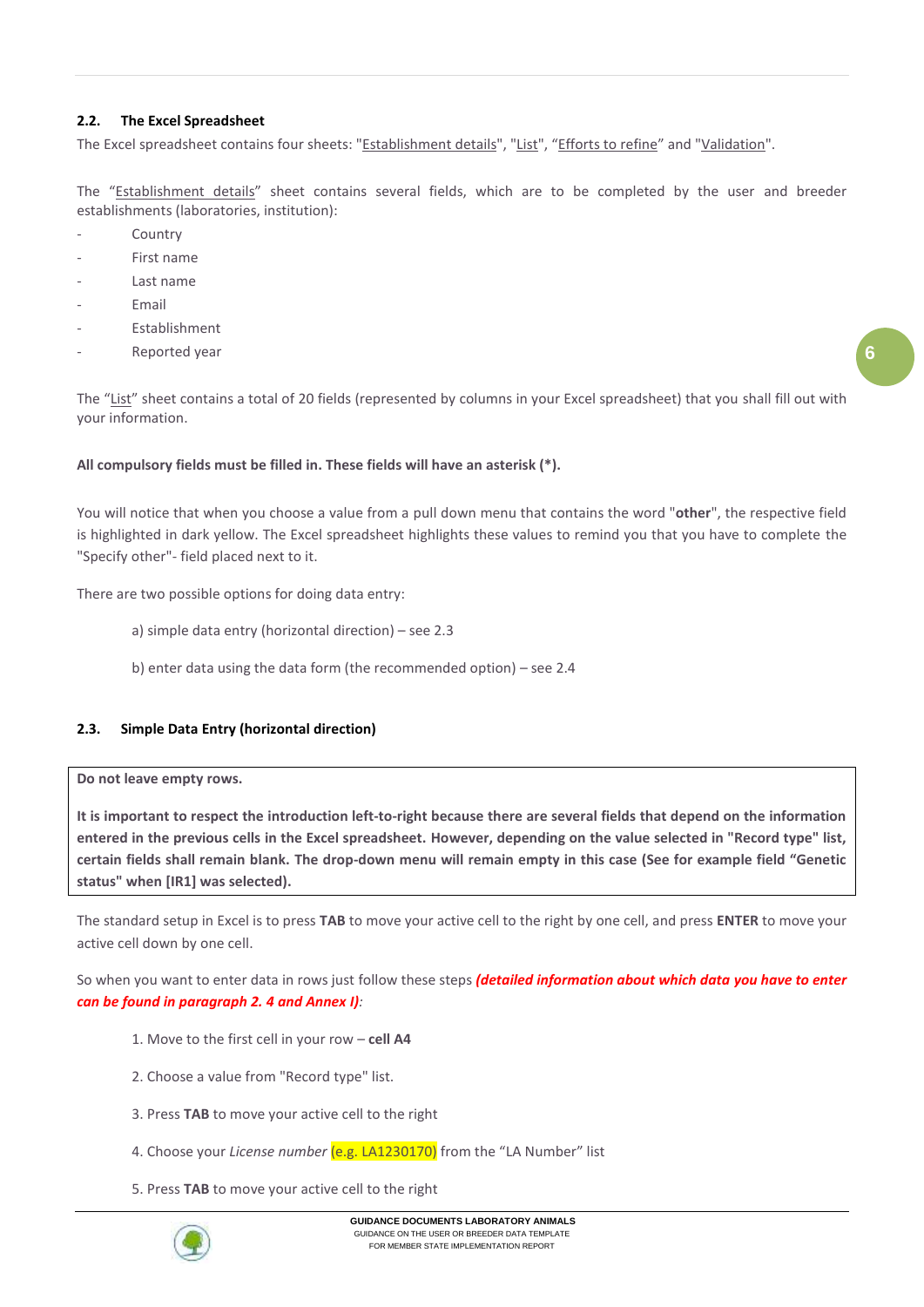#### <span id="page-6-0"></span>**2.2. The Excel Spreadsheet**

The Excel spreadsheet contains four sheets: "Establishment details", "List", "Efforts to refine" and "Validation".

The "Establishment details" sheet contains several fields, which are to be completed by the user and breeder establishments (laboratories, institution):

- **Country**
- First name
- Last name
- **Email**
- **Establishment**
- Reported year

The "List" sheet contains a total of 20 fields (represented by columns in your Excel spreadsheet) that you shall fill out with your information.

#### **All compulsory fields must be filled in. These fields will have an asterisk (\*).**

You will notice that when you choose a value from a pull down menu that contains the word "**other**", the respective field is highlighted in dark yellow. The Excel spreadsheet highlights these values to remind you that you have to complete the "Specify other"- field placed next to it.

There are two possible options for doing data entry:

- a) simple data entry (horizontal direction) see 2.3
- b) enter data using the data form (the recommended option) see 2.4

#### <span id="page-6-1"></span>**2.3. Simple Data Entry (horizontal direction)**

#### **Do not leave empty rows.**

**It is important to respect the introduction left-to-right because there are several fields that depend on the information entered in the previous cells in the Excel spreadsheet. However, depending on the value selected in "Record type" list, certain fields shall remain blank. The drop-down menu will remain empty in this case (See for example field "Genetic status" when [IR1] was selected).**

The standard setup in Excel is to press **TAB** to move your active cell to the right by one cell, and press **ENTER** to move your active cell down by one cell.

So when you want to enter data in rows just follow these steps *(detailed information about which data you have to enter can be found in paragraph 2. 4 and Annex I):*

- 1. Move to the first cell in your row **cell A4**
- 2. Choose a value from "Record type" list.
- 3. Press **TAB** to move your active cell to the right
- 4. Choose your *License number* (e.g. LA1230170) from the "LA Number" list
- 5. Press **TAB** to move your active cell to the right

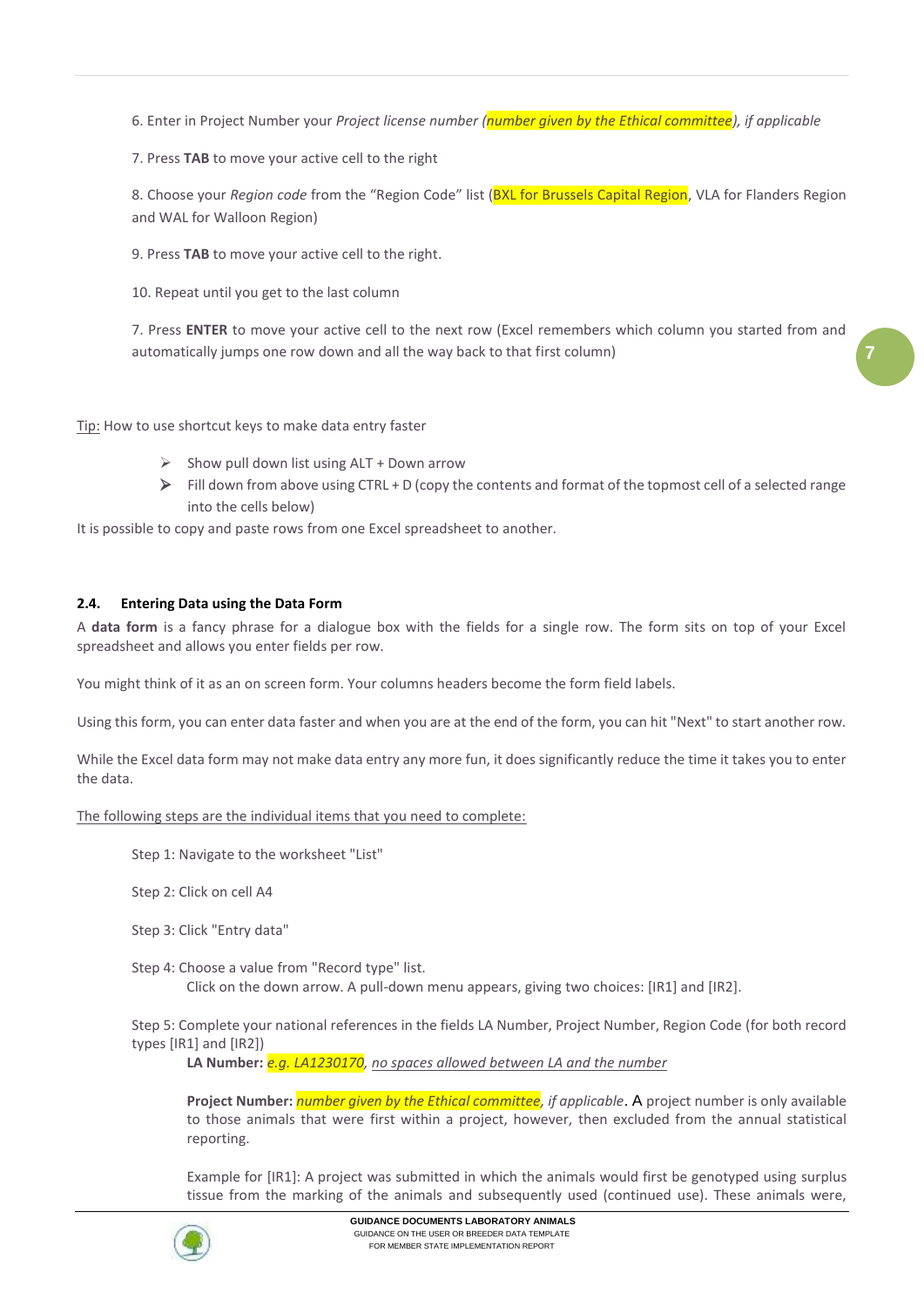6. Enter in Project Number your *Project license number (number given by the Ethical committee), if applicable*

7. Press **TAB** to move your active cell to the right

8. Choose your *Region code* from the "Region Code" list (BXL for Brussels Capital Region, VLA for Flanders Region and WAL for Walloon Region)

9. Press **TAB** to move your active cell to the right.

10. Repeat until you get to the last column

7. Press **ENTER** to move your active cell to the next row (Excel remembers which column you started from and automatically jumps one row down and all the way back to that first column)

Tip: How to use shortcut keys to make data entry faster

- $\triangleright$  Show pull down list using ALT + Down arrow
- $\triangleright$  Fill down from above using CTRL + D (copy the contents and format of the topmost cell of a selected range into the cells below)

It is possible to copy and paste rows from one Excel spreadsheet to another.

#### <span id="page-7-0"></span>**2.4. Entering Data using the Data Form**

A **data form** is a fancy phrase for a dialogue box with the fields for a single row. The form sits on top of your Excel spreadsheet and allows you enter fields per row.

You might think of it as an on screen form. Your columns headers become the form field labels.

Using this form, you can enter data faster and when you are at the end of the form, you can hit "Next" to start another row.

While the Excel data form may not make data entry any more fun, it does significantly reduce the time it takes you to enter the data.

The following steps are the individual items that you need to complete:

Step 1: Navigate to the worksheet "List"

Step 2: Click on cell A4

Step 3: Click "Entry data"

Step 4: Choose a value from "Record type" list.

Click on the down arrow. A pull-down menu appears, giving two choices: [IR1] and [IR2].

Step 5: Complete your national references in the fields LA Number, Project Number, Region Code (for both record types [IR1] and [IR2])

**LA Number:** *e.g. LA1230170, no spaces allowed between LA and the number*

**Project Number:** *number given by the Ethical committee, if applicable*. A project number is only available to those animals that were first within a project, however, then excluded from the annual statistical reporting.

Example for [IR1]: A project was submitted in which the animals would first be genotyped using surplus tissue from the marking of the animals and subsequently used (continued use). These animals were,

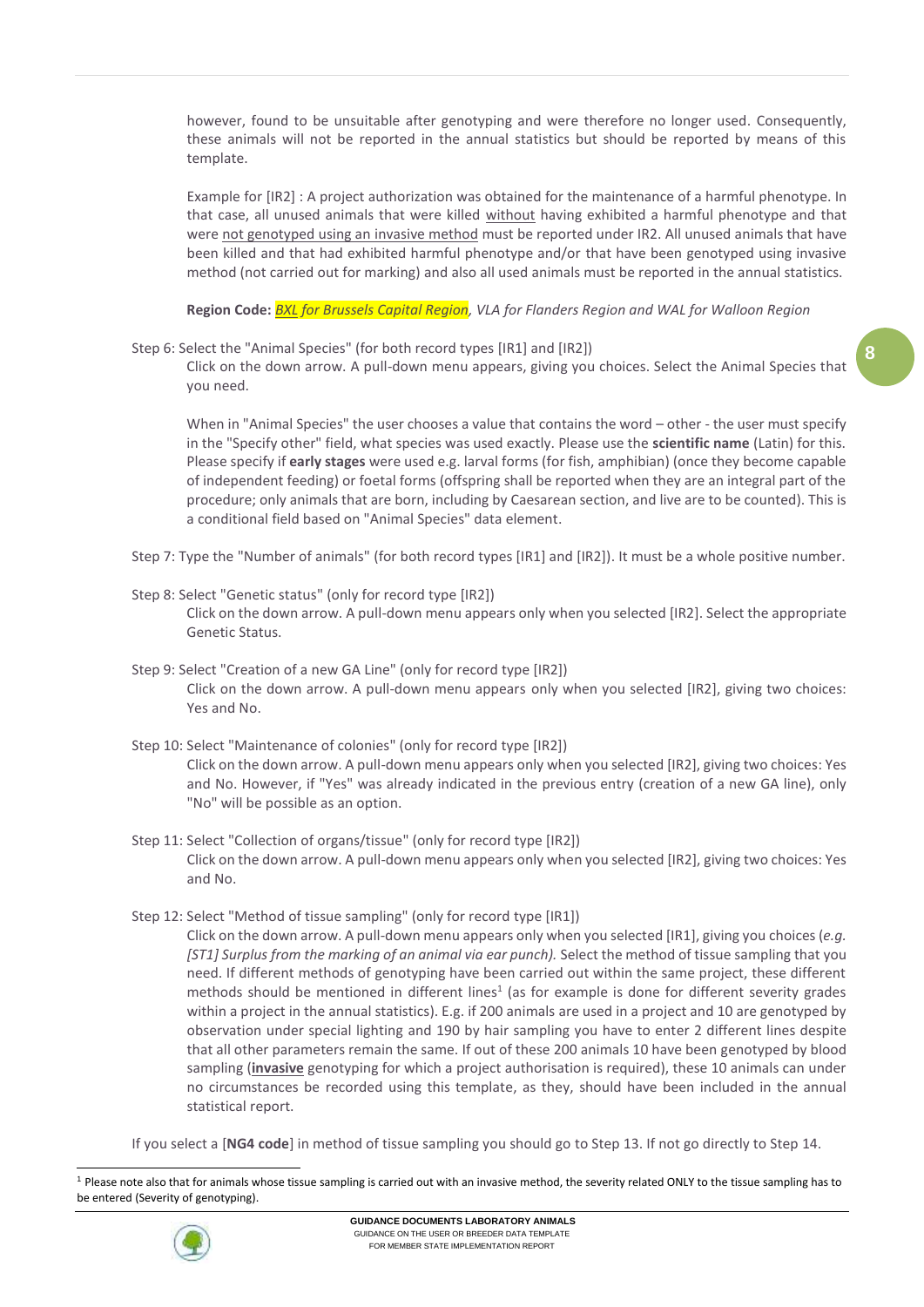however, found to be unsuitable after genotyping and were therefore no longer used. Consequently, these animals will not be reported in the annual statistics but should be reported by means of this template.

Example for [IR2] : A project authorization was obtained for the maintenance of a harmful phenotype. In that case, all unused animals that were killed without having exhibited a harmful phenotype and that were not genotyped using an invasive method must be reported under IR2. All unused animals that have been killed and that had exhibited harmful phenotype and/or that have been genotyped using invasive method (not carried out for marking) and also all used animals must be reported in the annual statistics.

**Region Code:** *BXL for Brussels Capital Region, VLA for Flanders Region and WAL for Walloon Region*

Step 6: Select the "Animal Species" (for both record types [IR1] and [IR2])

Click on the down arrow. A pull-down menu appears, giving you choices. Select the Animal Species that you need.

When in "Animal Species" the user chooses a value that contains the word – other - the user must specify in the "Specify other" field, what species was used exactly. Please use the **scientific name** (Latin) for this. Please specify if **early stages** were used e.g. larval forms (for fish, amphibian) (once they become capable of independent feeding) or foetal forms (offspring shall be reported when they are an integral part of the procedure; only animals that are born, including by Caesarean section, and live are to be counted). This is a conditional field based on "Animal Species" data element.

Step 7: Type the "Number of animals" (for both record types [IR1] and [IR2]). It must be a whole positive number.

- Step 8: Select "Genetic status" (only for record type [IR2]) Click on the down arrow. A pull-down menu appears only when you selected [IR2]. Select the appropriate Genetic Status.
- Step 9: Select "Creation of a new GA Line" (only for record type [IR2]) Click on the down arrow. A pull-down menu appears only when you selected [IR2], giving two choices: Yes and No.
- Step 10: Select "Maintenance of colonies" (only for record type [IR2]) Click on the down arrow. A pull-down menu appears only when you selected [IR2], giving two choices: Yes and No. However, if "Yes" was already indicated in the previous entry (creation of a new GA line), only "No" will be possible as an option.
- Step 11: Select "Collection of organs/tissue" (only for record type [IR2]) Click on the down arrow. A pull-down menu appears only when you selected [IR2], giving two choices: Yes and No.
- Step 12: Select "Method of tissue sampling" (only for record type [IR1])
	- Click on the down arrow. A pull-down menu appears only when you selected [IR1], giving you choices(*e.g. [ST1] Surplus from the marking of an animal via ear punch).* Select the method of tissue sampling that you need. If different methods of genotyping have been carried out within the same project, these different methods should be mentioned in different lines<sup>1</sup> (as for example is done for different severity grades within a project in the annual statistics). E.g. if 200 animals are used in a project and 10 are genotyped by observation under special lighting and 190 by hair sampling you have to enter 2 different lines despite that all other parameters remain the same. If out of these 200 animals 10 have been genotyped by blood sampling (**invasive** genotyping for which a project authorisation is required), these 10 animals can under no circumstances be recorded using this template, as they, should have been included in the annual statistical report.

If you select a [**NG4 code**] in method of tissue sampling you should go to Step 13. If not go directly to Step 14.

Please note also that for animals whose tissue sampling is carried out with an invasive method, the severity related ONLY to the tissue sampling has to be entered (Severity of genotyping).



l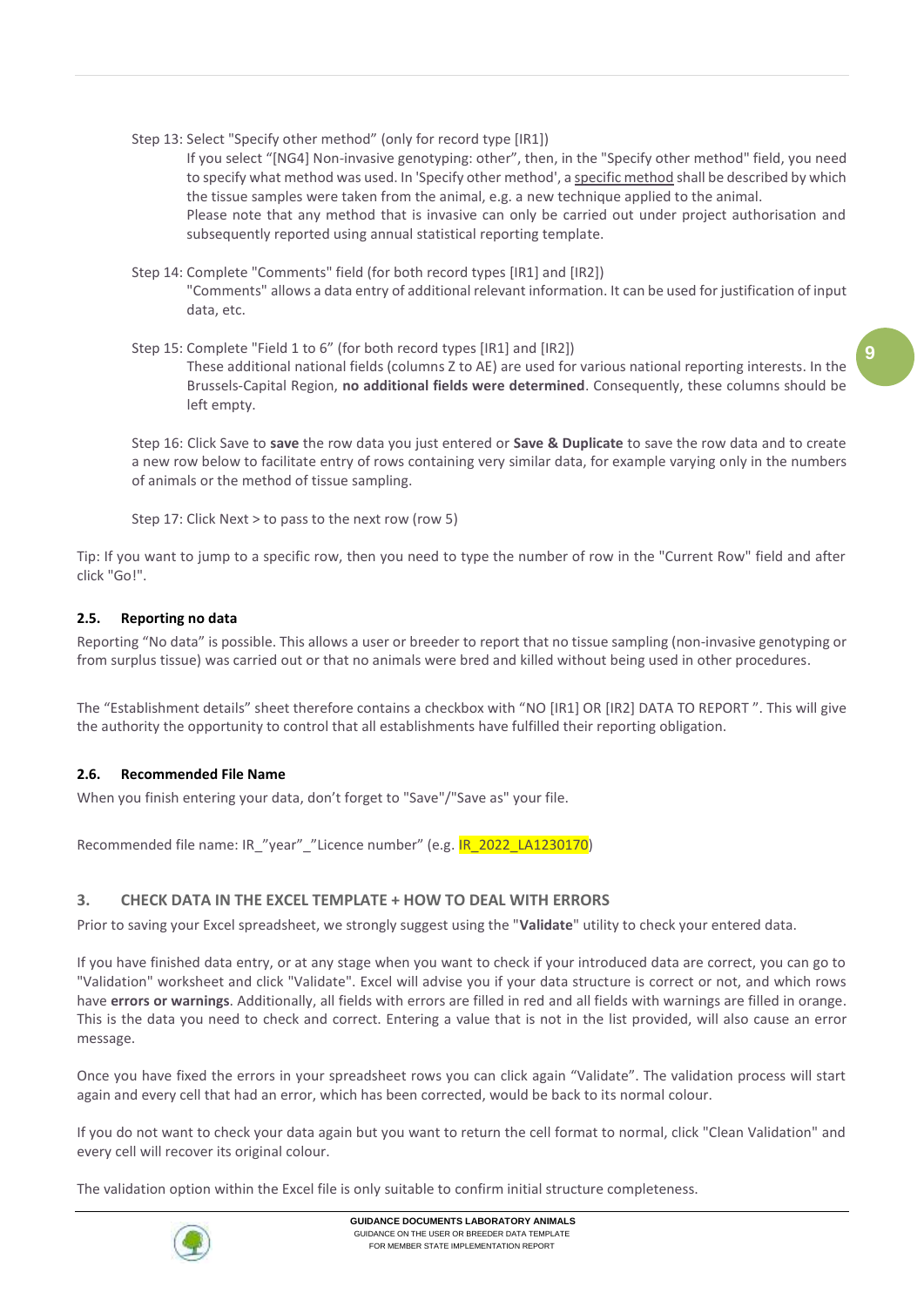Step 13: Select "Specify other method" (only for record type [IR1]) If you select "[NG4] Non-invasive genotyping: other", then, in the "Specify other method" field, you need to specify what method was used. In 'Specify other method', a specific method shall be described by which the tissue samples were taken from the animal, e.g. a new technique applied to the animal. Please note that any method that is invasive can only be carried out under project authorisation and subsequently reported using annual statistical reporting template.

- Step 14: Complete "Comments" field (for both record types [IR1] and [IR2]) "Comments" allows a data entry of additional relevant information. It can be used for justification of input data, etc.
- Step 15: Complete "Field 1 to 6" (for both record types [IR1] and [IR2]) These additional national fields (columns Z to AE) are used for various national reporting interests. In the Brussels-Capital Region, **no additional fields were determined**. Consequently, these columns should be left empty.

Step 16: Click Save to **save** the row data you just entered or **Save & Duplicate** to save the row data and to create a new row below to facilitate entry of rows containing very similar data, for example varying only in the numbers of animals or the method of tissue sampling.

Step 17: Click Next > to pass to the next row (row 5)

Tip: If you want to jump to a specific row, then you need to type the number of row in the "Current Row" field and after click "Go!".

#### <span id="page-9-0"></span>**2.5. Reporting no data**

Reporting "No data" is possible. This allows a user or breeder to report that no tissue sampling (non-invasive genotyping or from surplus tissue) was carried out or that no animals were bred and killed without being used in other procedures.

The "Establishment details" sheet therefore contains a checkbox with "NO [IR1] OR [IR2] DATA TO REPORT ". This will give the authority the opportunity to control that all establishments have fulfilled their reporting obligation.

#### <span id="page-9-1"></span>**2.6. Recommended File Name**

When you finish entering your data, don't forget to "Save"/"Save as" your file.

Recommended file name: IR "year" "Licence number" (e.g. **IR\_2022\_LA1230170)** 

#### <span id="page-9-2"></span>**3. CHECK DATA IN THE EXCEL TEMPLATE + HOW TO DEAL WITH ERRORS**

Prior to saving your Excel spreadsheet, we strongly suggest using the "**Validate**" utility to check your entered data.

If you have finished data entry, or at any stage when you want to check if your introduced data are correct, you can go to "Validation" worksheet and click "Validate". Excel will advise you if your data structure is correct or not, and which rows have **errors or warnings**. Additionally, all fields with errors are filled in red and all fields with warnings are filled in orange. This is the data you need to check and correct. Entering a value that is not in the list provided, will also cause an error message.

Once you have fixed the errors in your spreadsheet rows you can click again "Validate". The validation process will start again and every cell that had an error, which has been corrected, would be back to its normal colour.

If you do not want to check your data again but you want to return the cell format to normal, click "Clean Validation" and every cell will recover its original colour.

The validation option within the Excel file is only suitable to confirm initial structure completeness.

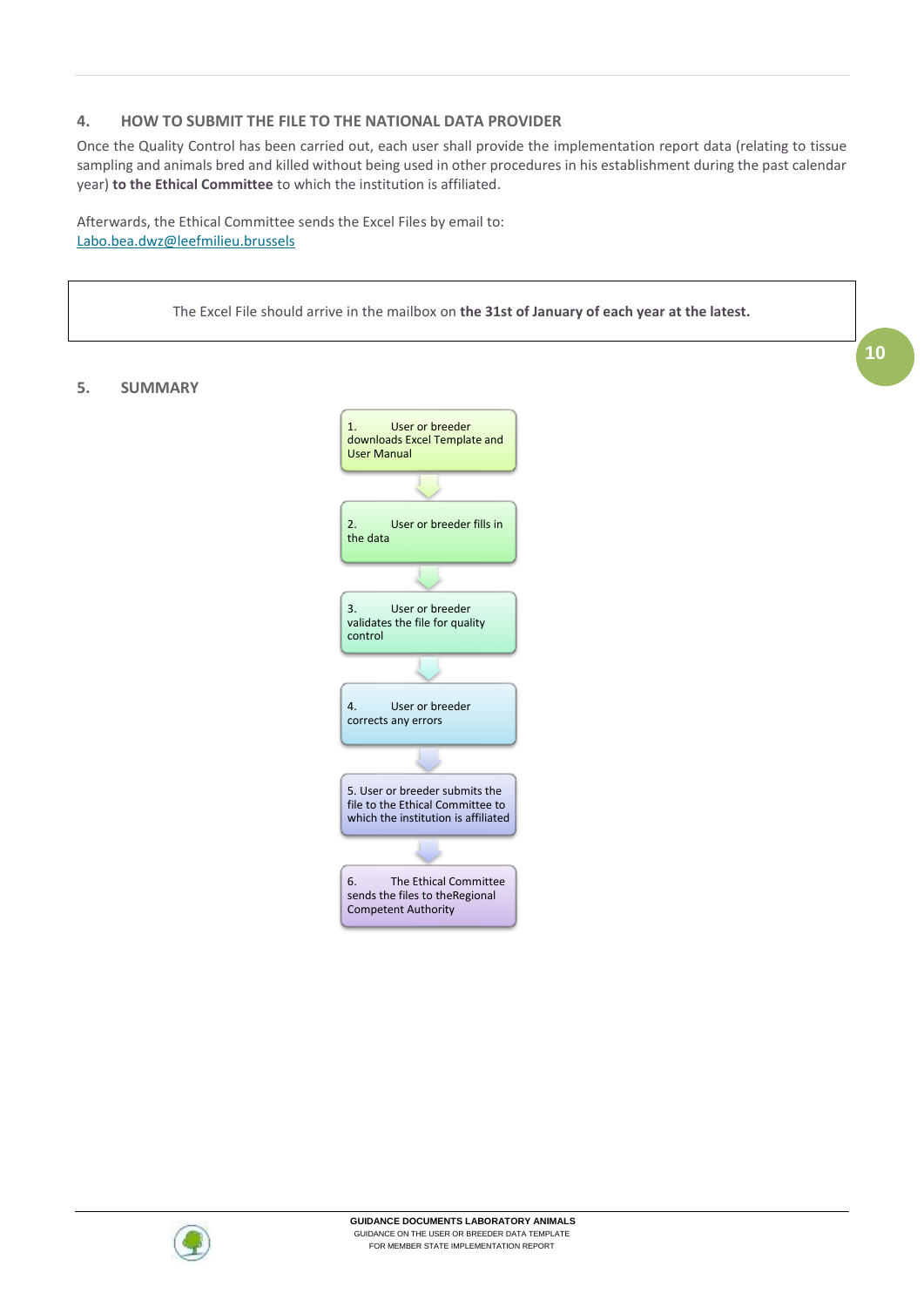#### <span id="page-10-0"></span>**4. HOW TO SUBMIT THE FILE TO THE NATIONAL DATA PROVIDER**

Once the Quality Control has been carried out, each user shall provide the implementation report data (relating to tissue sampling and animals bred and killed without being used in other procedures in his establishment during the past calendar year) **to the Ethical Committee** to which the institution is affiliated.

Afterwards, the Ethical Committee sends the Excel Files by email to: [Labo.bea.dwz@leefmilieu.brussels](mailto:Labo.bea.dwz@leefmilieu.brussels)

The Excel File should arrive in the mailbox on **the 31st of January of each year at the latest.**

#### <span id="page-10-1"></span>**5. SUMMARY**

<span id="page-10-2"></span>

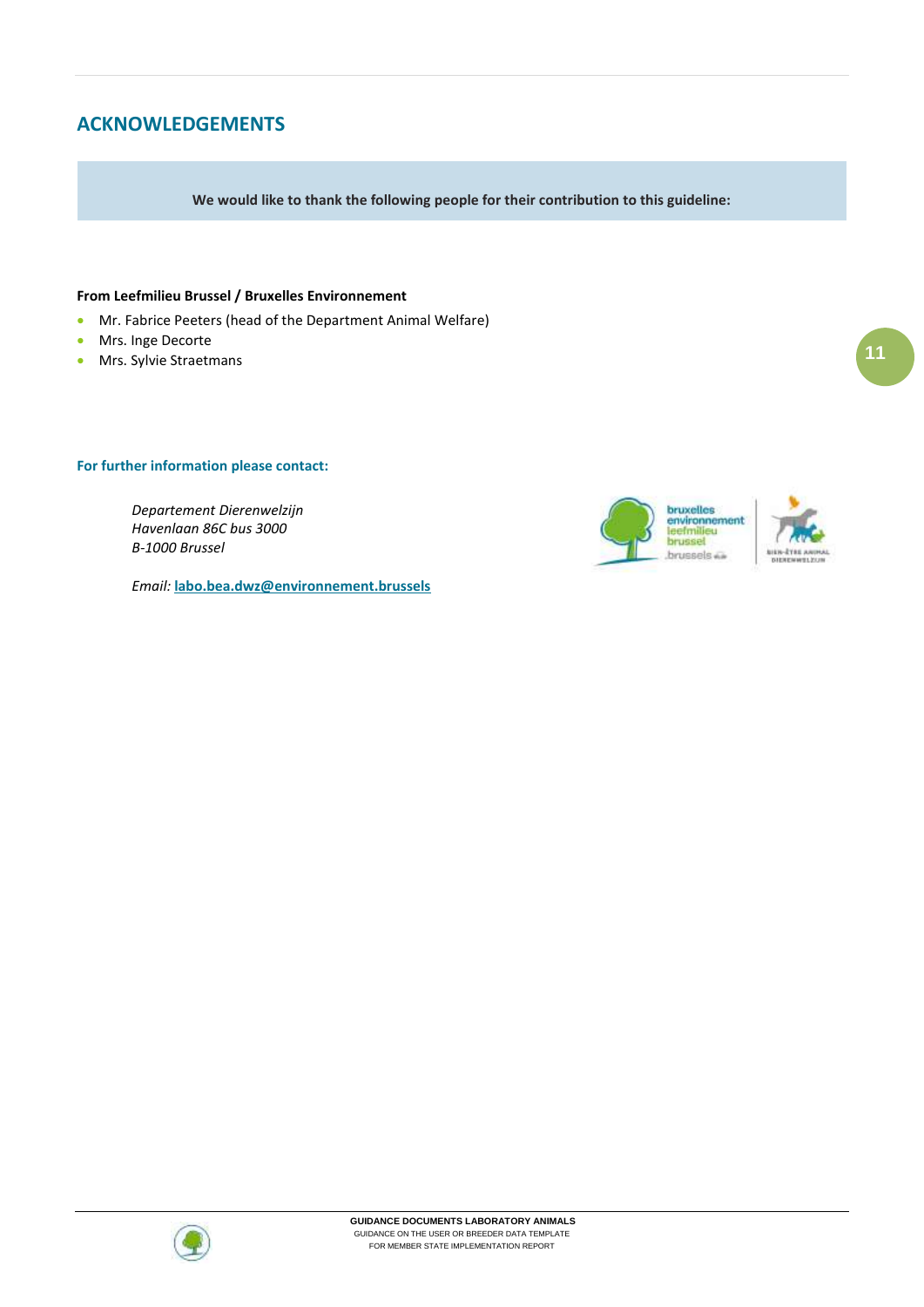## **ACKNOWLEDGEMENTS**

**We would like to thank the following people for their contribution to this guideline:**

#### **From Leefmilieu Brussel / Bruxelles Environnement**

- Mr. Fabrice Peeters (head of the Department Animal Welfare)
- **Mrs. Inge Decorte**
- **Mrs. Sylvie Straetmans**

#### **For further information please contact:**

*Departement Dierenwelzijn Havenlaan 86C bus 3000 B-1000 Brussel*

*Email:* **labo.bea.dwz@environnement.brussels**



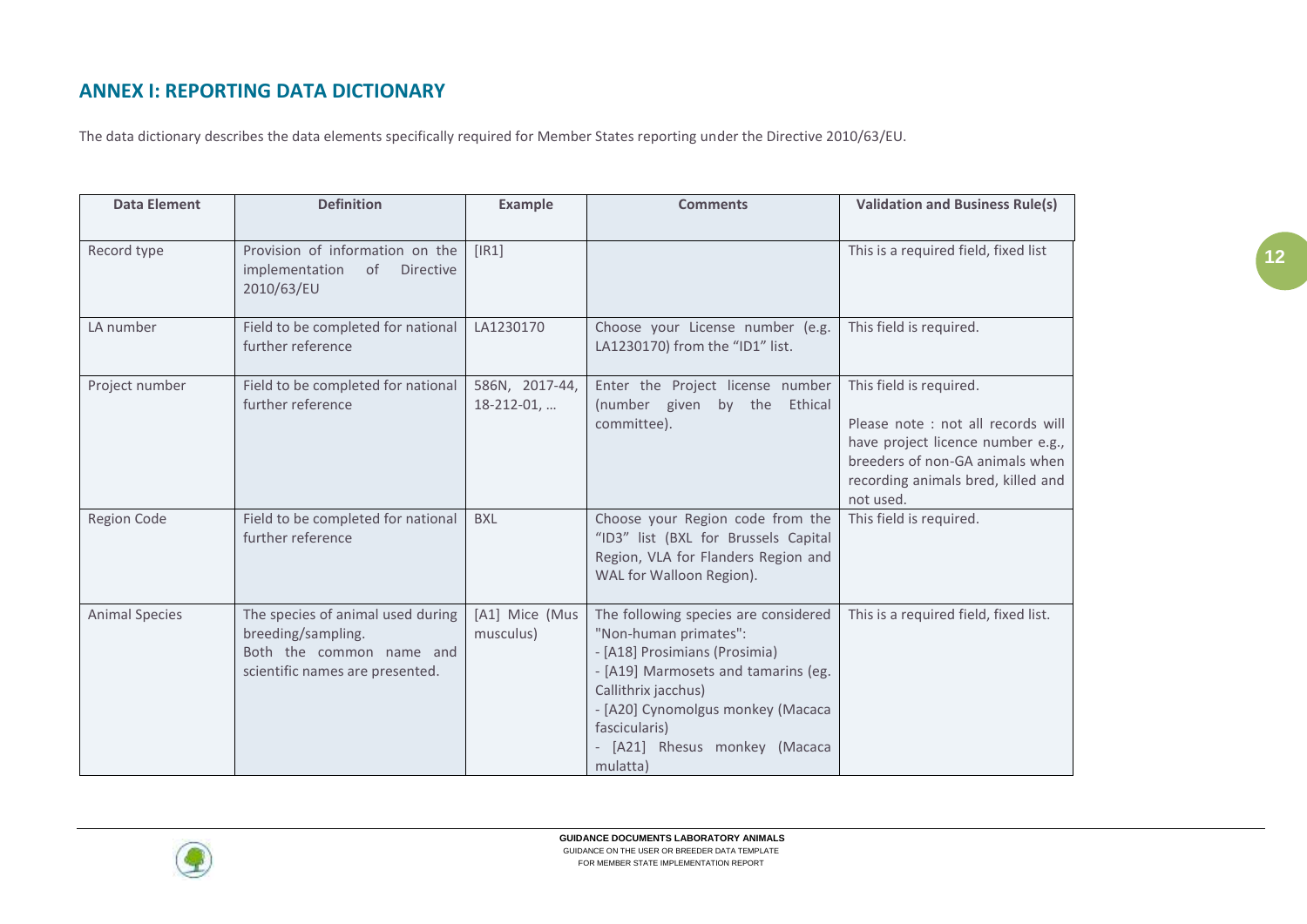## **ANNEX I: REPORTING DATA DICTIONARY**

The data dictionary describes the data elements specifically required for Member States reporting under the Directive 2010/63/EU.

<span id="page-12-0"></span>

| <b>Data Element</b>   | <b>Definition</b>                                                                                                      | Example                      | <b>Comments</b>                                                                                                                                                                                                                                               | <b>Validation and Business Rule(s)</b>                                                                                                                                                  |
|-----------------------|------------------------------------------------------------------------------------------------------------------------|------------------------------|---------------------------------------------------------------------------------------------------------------------------------------------------------------------------------------------------------------------------------------------------------------|-----------------------------------------------------------------------------------------------------------------------------------------------------------------------------------------|
| Record type           | Provision of information on the<br>implementation<br>of<br>Directive<br>2010/63/EU                                     | [IR1]                        |                                                                                                                                                                                                                                                               | This is a required field, fixed list                                                                                                                                                    |
| LA number             | Field to be completed for national<br>further reference                                                                | LA1230170                    | Choose your License number (e.g.<br>LA1230170) from the "ID1" list.                                                                                                                                                                                           | This field is required.                                                                                                                                                                 |
| Project number        | Field to be completed for national<br>further reference                                                                | 586N, 2017-44,<br>18-212-01, | Enter the Project license number<br>(number given by the Ethical<br>committee).                                                                                                                                                                               | This field is required.<br>Please note: not all records will<br>have project licence number e.g.,<br>breeders of non-GA animals when<br>recording animals bred, killed and<br>not used. |
| Region Code           | Field to be completed for national<br>further reference                                                                | <b>BXL</b>                   | Choose your Region code from the<br>"ID3" list (BXL for Brussels Capital<br>Region, VLA for Flanders Region and<br>WAL for Walloon Region).                                                                                                                   | This field is required.                                                                                                                                                                 |
| <b>Animal Species</b> | The species of animal used during<br>breeding/sampling.<br>Both the common name and<br>scientific names are presented. | [A1] Mice (Mus<br>musculus)  | The following species are considered<br>"Non-human primates":<br>- [A18] Prosimians (Prosimia)<br>- [A19] Marmosets and tamarins (eg.<br>Callithrix jacchus)<br>- [A20] Cynomolgus monkey (Macaca<br>fascicularis)<br>[A21] Rhesus monkey (Macaca<br>mulatta) | This is a required field, fixed list.                                                                                                                                                   |

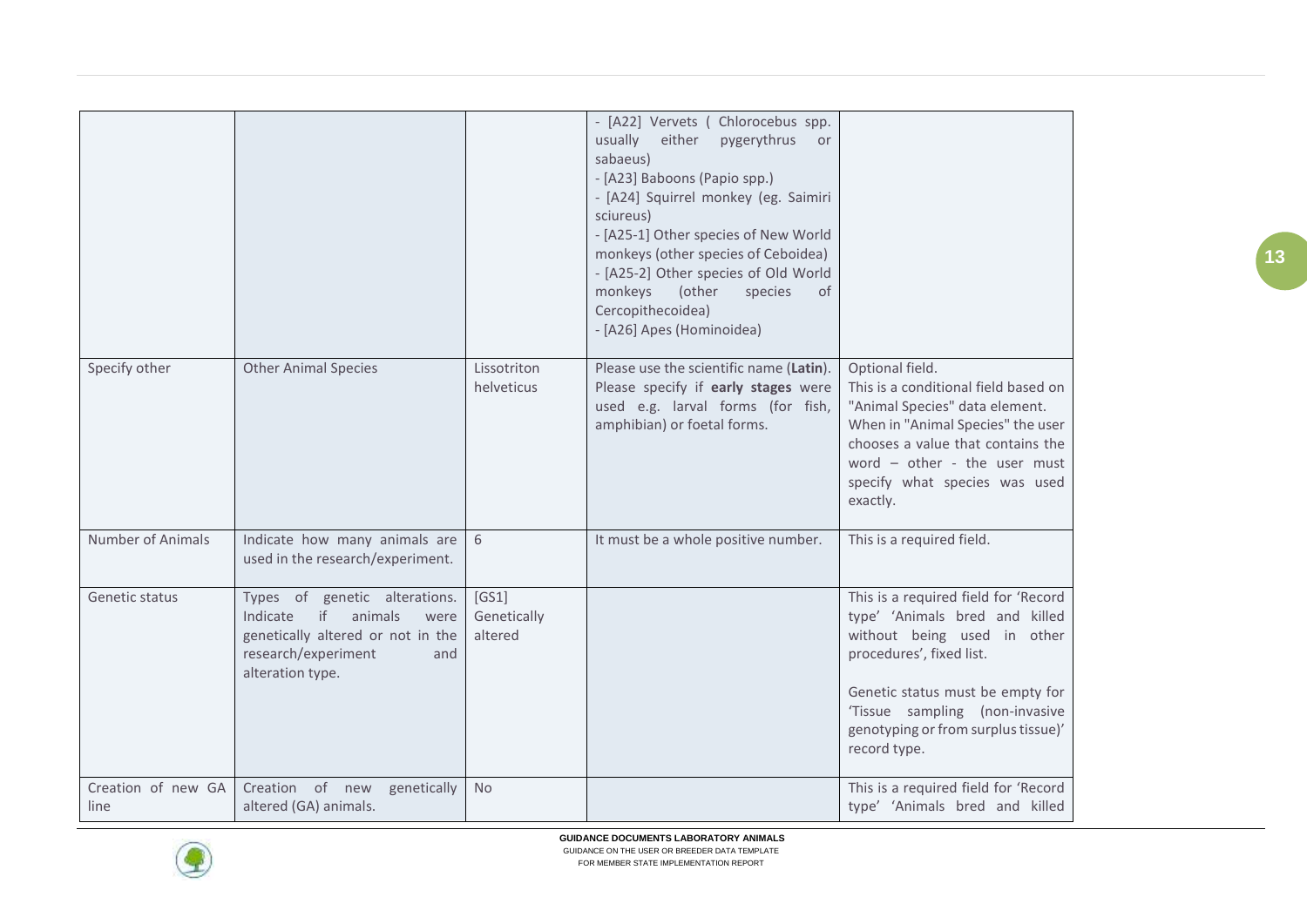|                            |                                                                                                                                                           |                                 | - [A22] Vervets ( Chlorocebus spp.<br>usually either<br>pygerythrus<br>or<br>sabaeus)<br>- [A23] Baboons (Papio spp.)<br>- [A24] Squirrel monkey (eg. Saimiri<br>sciureus)<br>- [A25-1] Other species of New World<br>monkeys (other species of Ceboidea)<br>- [A25-2] Other species of Old World<br>(other<br>monkeys<br>species<br>of<br>Cercopithecoidea)<br>- [A26] Apes (Hominoidea) |                                                                                                                                                                                                                                                                |
|----------------------------|-----------------------------------------------------------------------------------------------------------------------------------------------------------|---------------------------------|-------------------------------------------------------------------------------------------------------------------------------------------------------------------------------------------------------------------------------------------------------------------------------------------------------------------------------------------------------------------------------------------|----------------------------------------------------------------------------------------------------------------------------------------------------------------------------------------------------------------------------------------------------------------|
| Specify other              | <b>Other Animal Species</b>                                                                                                                               | Lissotriton<br>helveticus       | Please use the scientific name (Latin).<br>Please specify if early stages were<br>used e.g. larval forms (for fish,<br>amphibian) or foetal forms.                                                                                                                                                                                                                                        | Optional field.<br>This is a conditional field based on<br>"Animal Species" data element.<br>When in "Animal Species" the user<br>chooses a value that contains the<br>word $-$ other - the user must<br>specify what species was used<br>exactly.             |
| Number of Animals          | Indicate how many animals are<br>used in the research/experiment.                                                                                         | 6                               | It must be a whole positive number.                                                                                                                                                                                                                                                                                                                                                       | This is a required field.                                                                                                                                                                                                                                      |
| Genetic status             | Types of genetic alterations.<br>Indicate<br>if<br>animals<br>were<br>genetically altered or not in the<br>research/experiment<br>and<br>alteration type. | [GS1]<br>Genetically<br>altered |                                                                                                                                                                                                                                                                                                                                                                                           | This is a required field for 'Record<br>type' 'Animals bred and killed<br>without being used in other<br>procedures', fixed list.<br>Genetic status must be empty for<br>'Tissue sampling (non-invasive<br>genotyping or from surplus tissue)'<br>record type. |
| Creation of new GA<br>line | Creation of new<br>genetically<br>altered (GA) animals.                                                                                                   | <b>No</b>                       |                                                                                                                                                                                                                                                                                                                                                                                           | This is a required field for 'Record<br>type' 'Animals bred and killed                                                                                                                                                                                         |

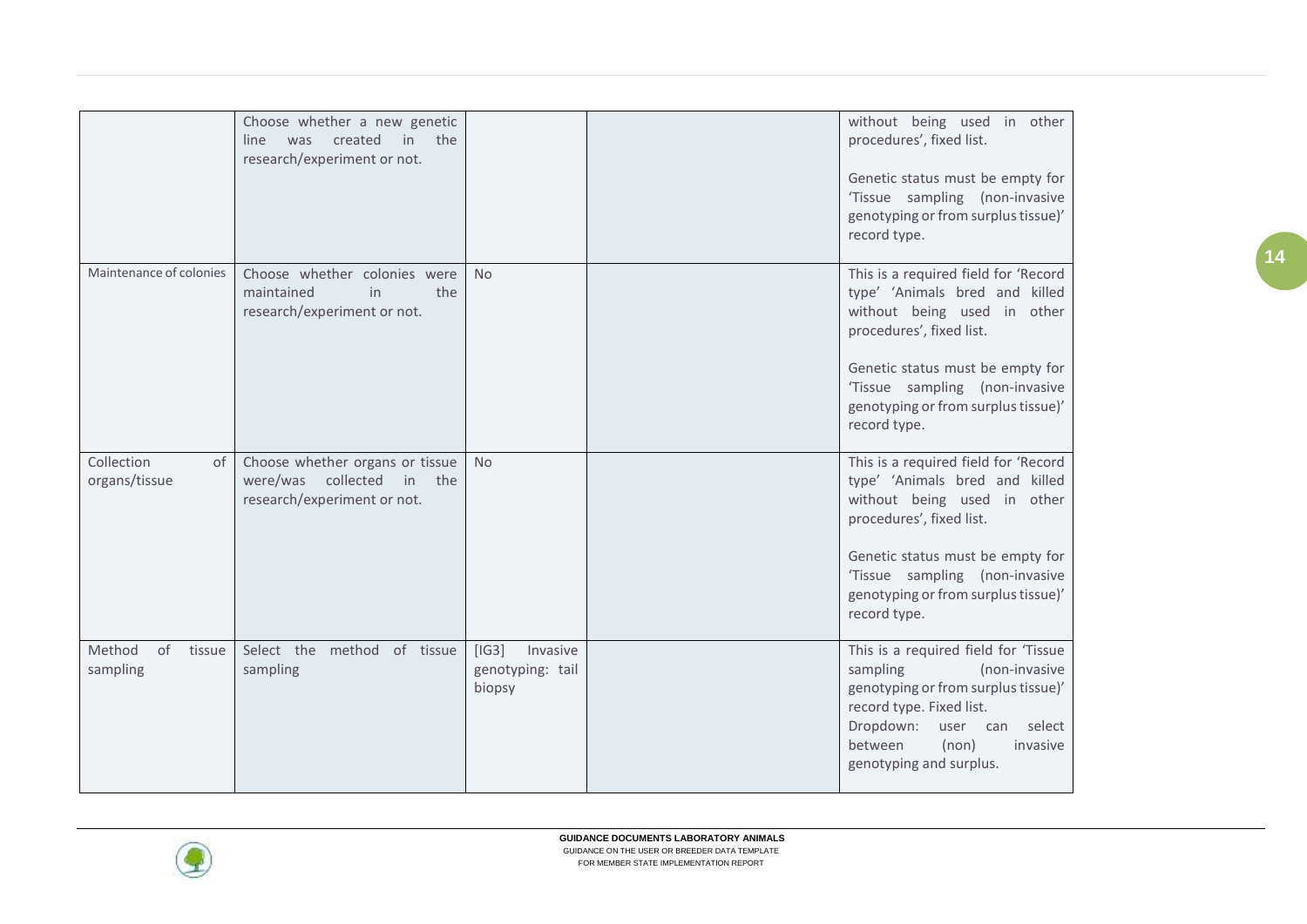|                                   | Choose whether a new genetic<br>was created<br>in the<br>line<br>research/experiment or not. |                                                 | without being used in other<br>procedures', fixed list.<br>Genetic status must be empty for<br>'Tissue sampling (non-invasive<br>genotyping or from surplus tissue)'<br>record type.                                                                           |
|-----------------------------------|----------------------------------------------------------------------------------------------|-------------------------------------------------|----------------------------------------------------------------------------------------------------------------------------------------------------------------------------------------------------------------------------------------------------------------|
| Maintenance of colonies           | Choose whether colonies were<br>maintained<br>in<br>the<br>research/experiment or not.       | <b>No</b>                                       | This is a required field for 'Record<br>type' 'Animals bred and killed<br>without being used in other<br>procedures', fixed list.<br>Genetic status must be empty for<br>'Tissue sampling (non-invasive<br>genotyping or from surplus tissue)'<br>record type. |
| Collection<br>of<br>organs/tissue | Choose whether organs or tissue<br>were/was collected in the<br>research/experiment or not.  | <b>No</b>                                       | This is a required field for 'Record<br>type' 'Animals bred and killed<br>without being used in other<br>procedures', fixed list.<br>Genetic status must be empty for<br>'Tissue sampling (non-invasive<br>genotyping or from surplus tissue)'<br>record type. |
| Method<br>of tissue<br>sampling   | Select the method of tissue<br>sampling                                                      | [IG3]<br>Invasive<br>genotyping: tail<br>biopsy | This is a required field for 'Tissue<br>sampling<br>(non-invasive<br>genotyping or from surplus tissue)'<br>record type. Fixed list.<br>Dropdown: user can select<br>between<br>(non)<br>invasive<br>genotyping and surplus.                                   |

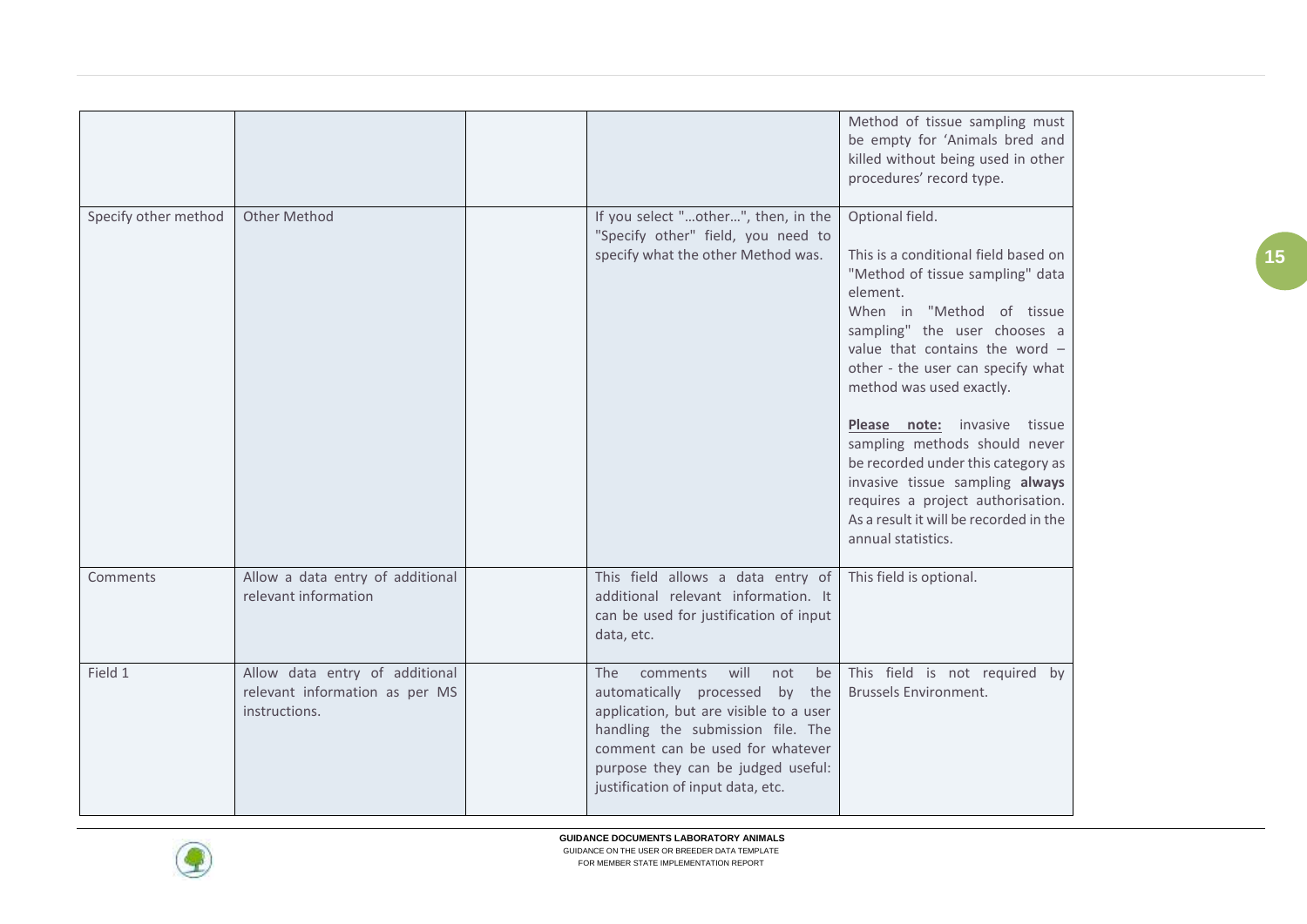|                      |                                                                                   |                                                                                                                                                                                                                                                                             | Method of tissue sampling must<br>be empty for 'Animals bred and<br>killed without being used in other<br>procedures' record type.                                                                                                                                                                                                                                                                                                                                                                                       |
|----------------------|-----------------------------------------------------------------------------------|-----------------------------------------------------------------------------------------------------------------------------------------------------------------------------------------------------------------------------------------------------------------------------|--------------------------------------------------------------------------------------------------------------------------------------------------------------------------------------------------------------------------------------------------------------------------------------------------------------------------------------------------------------------------------------------------------------------------------------------------------------------------------------------------------------------------|
| Specify other method | <b>Other Method</b>                                                               | If you select "other", then, in the<br>"Specify other" field, you need to<br>specify what the other Method was.                                                                                                                                                             | Optional field.<br>This is a conditional field based on<br>"Method of tissue sampling" data<br>element.<br>When in "Method of tissue<br>sampling" the user chooses a<br>value that contains the word $-$<br>other - the user can specify what<br>method was used exactly.<br>Please note: invasive tissue<br>sampling methods should never<br>be recorded under this category as<br>invasive tissue sampling always<br>requires a project authorisation.<br>As a result it will be recorded in the<br>annual statistics. |
| Comments             | Allow a data entry of additional<br>relevant information                          | This field allows a data entry of<br>additional relevant information. It<br>can be used for justification of input<br>data, etc.                                                                                                                                            | This field is optional.                                                                                                                                                                                                                                                                                                                                                                                                                                                                                                  |
| Field 1              | Allow data entry of additional<br>relevant information as per MS<br>instructions. | will<br>comments<br>not<br>be<br><b>The</b><br>automatically processed by the<br>application, but are visible to a user<br>handling the submission file. The<br>comment can be used for whatever<br>purpose they can be judged useful:<br>justification of input data, etc. | This field is not required by<br><b>Brussels Environment.</b>                                                                                                                                                                                                                                                                                                                                                                                                                                                            |

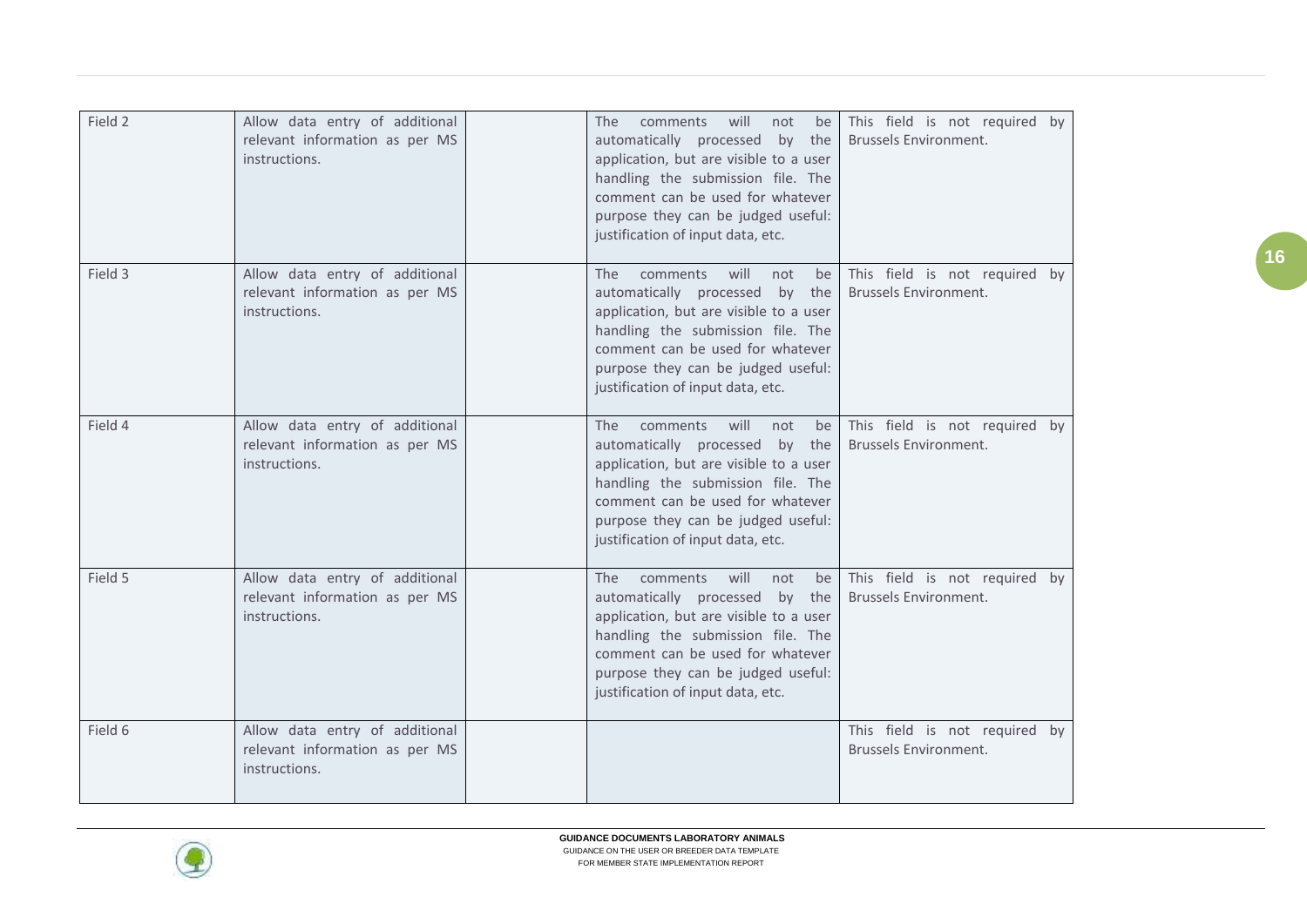| Field 2 | Allow data entry of additional<br>relevant information as per MS<br>instructions. | <b>The</b><br>comments<br>will<br>not<br>be<br>automatically processed by the<br>application, but are visible to a user<br>handling the submission file. The<br>comment can be used for whatever<br>purpose they can be judged useful:<br>justification of input data, etc. | This field is not required by<br><b>Brussels Environment.</b> |
|---------|-----------------------------------------------------------------------------------|-----------------------------------------------------------------------------------------------------------------------------------------------------------------------------------------------------------------------------------------------------------------------------|---------------------------------------------------------------|
| Field 3 | Allow data entry of additional<br>relevant information as per MS<br>instructions. | comments<br>will<br>The l<br>not<br>be<br>automatically processed by the<br>application, but are visible to a user<br>handling the submission file. The<br>comment can be used for whatever<br>purpose they can be judged useful:<br>justification of input data, etc.      | This field is not required by<br><b>Brussels Environment.</b> |
| Field 4 | Allow data entry of additional<br>relevant information as per MS<br>instructions. | will<br>The l<br>comments<br>not<br>be<br>automatically processed by<br>the<br>application, but are visible to a user<br>handling the submission file. The<br>comment can be used for whatever<br>purpose they can be judged useful:<br>justification of input data, etc.   | This field is not required by<br><b>Brussels Environment.</b> |
| Field 5 | Allow data entry of additional<br>relevant information as per MS<br>instructions. | will<br>The l<br>comments<br>not<br>be<br>automatically processed by the<br>application, but are visible to a user<br>handling the submission file. The<br>comment can be used for whatever<br>purpose they can be judged useful:<br>justification of input data, etc.      | This field is not required by<br><b>Brussels Environment.</b> |
| Field 6 | Allow data entry of additional<br>relevant information as per MS<br>instructions. |                                                                                                                                                                                                                                                                             | This field is not required by<br><b>Brussels Environment.</b> |